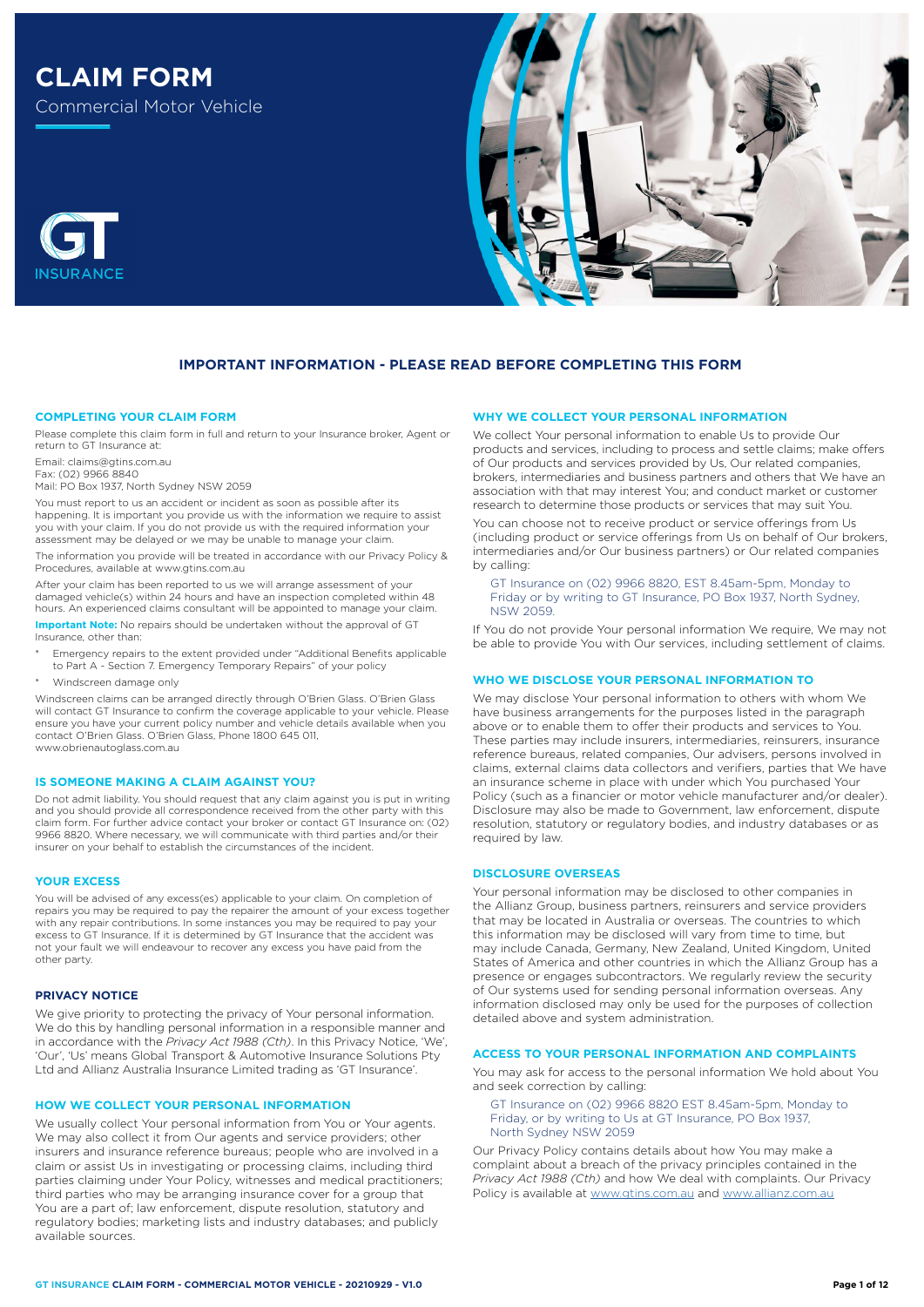# **CLAIM FORM**

Commercial Motor Vehicle



# **IMPORTANT INFORMATION - PLEASE READ BEFORE COMPLETING THIS FORM**

#### **COMPLETING YOUR CLAIM FORM**

Please complete this claim form in full and return to your Insurance broker, Agent or return to GT Insurance at:

Email: claims@gtins.com.au

Fax: (02) 9966 8840

Mail: PO Box 1937, North Sydney NSW 2059

You must report to us an accident or incident as soon as possible after its happening. It is important you provide us with the information we require to assist you with your claim. If you do not provide us with the required information your assessment may be delayed or we may be unable to manage your claim. The information you provide will be treated in accordance with our Privacy Policy &

Procedures, available at www.gtins.com.au

After your claim has been reported to us we will arrange assessment of your damaged vehicle(s) within 24 hours and have an inspection completed within 48 hours. An experienced claims consultant will be appointed to manage your claim.

**Important Note:** No repairs should be undertaken without the approval of GT Insurance, other than:

- Emergency repairs to the extent provided under "Additional Benefits applicable to Part A - Section 7. Emergency Temporary Repairs" of your policy
- Windscreen damage only

Windscreen claims can be arranged directly through O'Brien Glass. O'Brien Glass will contact GT Insurance to confirm the coverage applicable to your vehicle. Please ensure you have your current policy number and vehicle details available when you contact O'Brien Glass. O'Brien Glass, Phone 1800 645 011, www.obrienautoglass.com.au

## **IS SOMEONE MAKING A CLAIM AGAINST YOU?**

Do not admit liability. You should request that any claim against you is put in writing and you should provide all correspondence received from the other party with this claim form. For further advice contact your broker or contact GT Insurance on: (02) 9966 8820. Where necessary, we will communicate with third parties and/or their insurer on your behalf to establish the circumstances of the incident.

#### **YOUR EXCESS**

You will be advised of any excess(es) applicable to your claim. On completion of repairs you may be required to pay the repairer the amount of your excess together with any repair contributions. In some instances you may be required to pay your excess to GT Insurance. If it is determined by GT Insurance that the accident was not your fault we will endeavour to recover any excess you have paid from the other party.

## **PRIVACY NOTICE**

We give priority to protecting the privacy of Your personal information. We do this by handling personal information in a responsible manner and in accordance with the *Privacy Act 1988 (Cth)*. In this Privacy Notice, 'We', 'Our', 'Us' means Global Transport & Automotive Insurance Solutions Pty Ltd and Allianz Australia Insurance Limited trading as 'GT Insurance'.

#### **HOW WE COLLECT YOUR PERSONAL INFORMATION**

We usually collect Your personal information from You or Your agents. We may also collect it from Our agents and service providers; other insurers and insurance reference bureaus; people who are involved in a claim or assist Us in investigating or processing claims, including third parties claiming under Your Policy, witnesses and medical practitioners; third parties who may be arranging insurance cover for a group that You are a part of; law enforcement, dispute resolution, statutory and regulatory bodies; marketing lists and industry databases; and publicly available sources.

# **WHY WE COLLECT YOUR PERSONAL INFORMATION**

We collect Your personal information to enable Us to provide Our products and services, including to process and settle claims; make offers of Our products and services provided by Us, Our related companies, brokers, intermediaries and business partners and others that We have an association with that may interest You; and conduct market or customer research to determine those products or services that may suit You.

You can choose not to receive product or service offerings from Us (including product or service offerings from Us on behalf of Our brokers, intermediaries and/or Our business partners) or Our related companies by calling:

GT Insurance on (02) 9966 8820, EST 8.45am-5pm, Monday to Friday or by writing to GT Insurance, PO Box 1937, North Sydney, NSW 2059.

If You do not provide Your personal information We require, We may not be able to provide You with Our services, including settlement of claims.

## **WHO WE DISCLOSE YOUR PERSONAL INFORMATION TO**

We may disclose Your personal information to others with whom We have business arrangements for the purposes listed in the paragraph above or to enable them to offer their products and services to You. These parties may include insurers, intermediaries, reinsurers, insurance reference bureaus, related companies, Our advisers, persons involved in claims, external claims data collectors and verifiers, parties that We have an insurance scheme in place with under which You purchased Your Policy (such as a financier or motor vehicle manufacturer and/or dealer). Disclosure may also be made to Government, law enforcement, dispute resolution, statutory or regulatory bodies, and industry databases or as required by law.

#### **DISCLOSURE OVERSEAS**

Your personal information may be disclosed to other companies in the Allianz Group, business partners, reinsurers and service providers that may be located in Australia or overseas. The countries to which this information may be disclosed will vary from time to time, but may include Canada, Germany, New Zealand, United Kingdom, United States of America and other countries in which the Allianz Group has a presence or engages subcontractors. We regularly review the security of Our systems used for sending personal information overseas. Any information disclosed may only be used for the purposes of collection detailed above and system administration.

## **ACCESS TO YOUR PERSONAL INFORMATION AND COMPLAINTS**

You may ask for access to the personal information We hold about You and seek correction by calling:

GT Insurance on (02) 9966 8820 EST 8.45am-5pm, Monday to Friday, or by writing to Us at GT Insurance, PO Box 1937, North Sydney NSW 2059

Our Privacy Policy contains details about how You may make a complaint about a breach of the privacy principles contained in the *Privacy Act 1988 (Cth)* and how We deal with complaints. Our Privacy Policy is available at [www.gtins.com.au](https://www.gtins.com.au/documents-and-policies/) and [www.allianz.com.au](https://www.allianz.com.au/about-us/privacy/)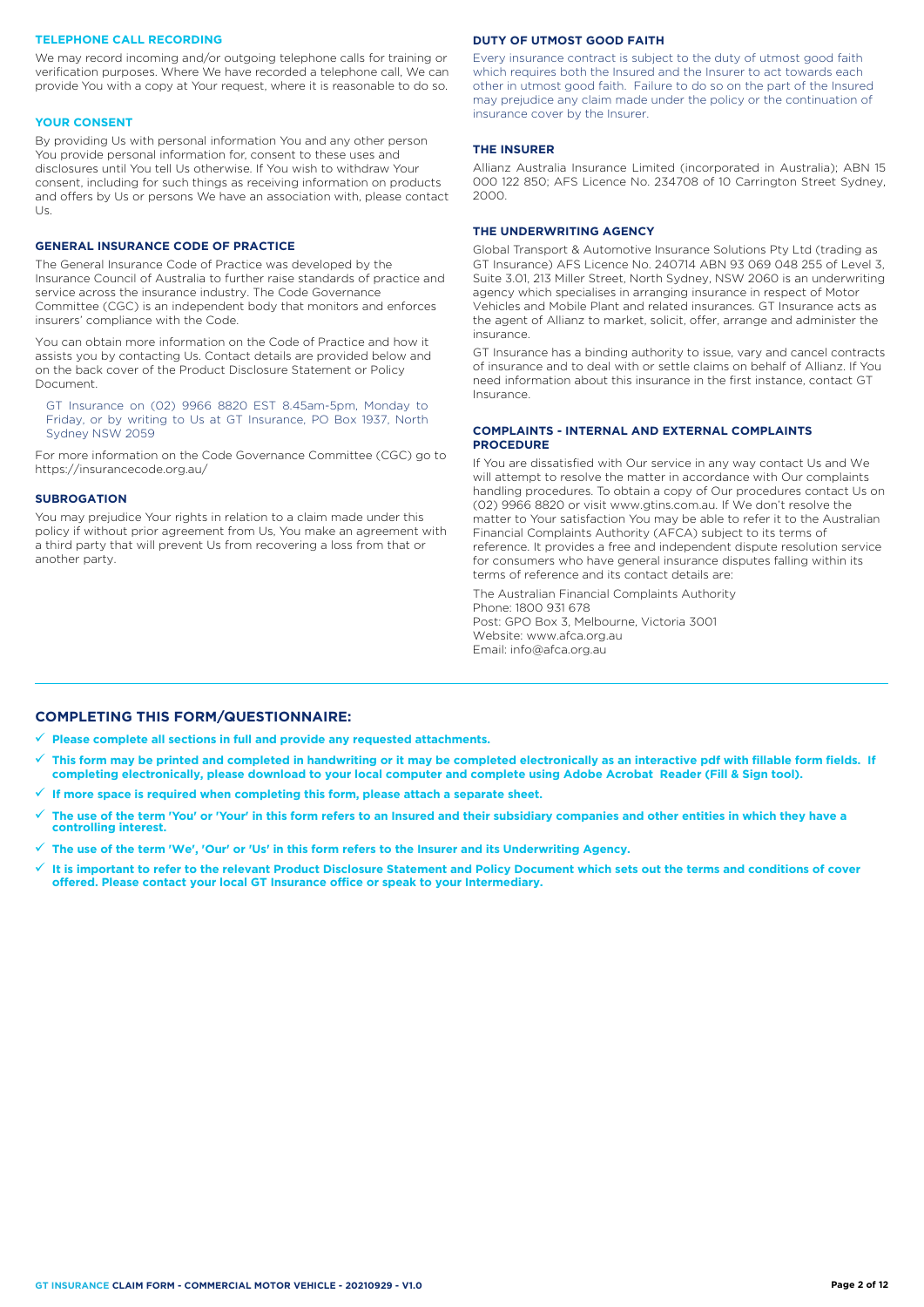## **TELEPHONE CALL RECORDING**

We may record incoming and/or outgoing telephone calls for training or verification purposes. Where We have recorded a telephone call, We can provide You with a copy at Your request, where it is reasonable to do so.

#### **YOUR CONSENT**

By providing Us with personal information You and any other person You provide personal information for, consent to these uses and disclosures until You tell Us otherwise. If You wish to withdraw Your consent, including for such things as receiving information on products and offers by Us or persons We have an association with, please contact  $| \cdot |$ 

## **GENERAL INSURANCE CODE OF PRACTICE**

The General Insurance Code of Practice was developed by the Insurance Council of Australia to further raise standards of practice and service across the insurance industry. The Code Governance Committee (CGC) is an independent body that monitors and enforces insurers' compliance with the Code.

You can obtain more information on the Code of Practice and how it assists you by contacting Us. Contact details are provided below and on the back cover of the Product Disclosure Statement or Policy Document.

GT Insurance on (02) 9966 8820 EST 8.45am-5pm, Monday to Friday, or by writing to Us at GT Insurance, PO Box 1937, North Sydney NSW 2059

For more information on the Code Governance Committee (CGC) go to <https://insurancecode.org.au/>

#### **SUBROGATION**

You may prejudice Your rights in relation to a claim made under this policy if without prior agreement from Us, You make an agreement with a third party that will prevent Us from recovering a loss from that or another party.

## **DUTY OF UTMOST GOOD FAITH**

Every insurance contract is subject to the duty of utmost good faith which requires both the Insured and the Insurer to act towards each other in utmost good faith. Failure to do so on the part of the Insured may prejudice any claim made under the policy or the continuation of insurance cover by the Insurer.

## **THE INSURER**

Allianz Australia Insurance Limited (incorporated in Australia); ABN 15 000 122 850; AFS Licence No. 234708 of 10 Carrington Street Sydney, 2000.

## **THE UNDERWRITING AGENCY**

Global Transport & Automotive Insurance Solutions Pty Ltd (trading as GT Insurance) AFS Licence No. 240714 ABN 93 069 048 255 of Level 3, Suite 3.01, 213 Miller Street, North Sydney, NSW 2060 is an underwriting agency which specialises in arranging insurance in respect of Motor Vehicles and Mobile Plant and related insurances. GT Insurance acts as the agent of Allianz to market, solicit, offer, arrange and administer the insurance.

GT Insurance has a binding authority to issue, vary and cancel contracts of insurance and to deal with or settle claims on behalf of Allianz. If You need information about this insurance in the first instance, contact GT Insurance.

## **COMPLAINTS - INTERNAL AND EXTERNAL COMPLAINTS PROCEDURE**

If You are dissatisfied with Our service in any way contact Us and We will attempt to resolve the matter in accordance with Our complaints handling procedures. To obtain a copy of Our procedures contact Us on (02) 9966 8820 or visit www.gtins.com.au. If We don't resolve the matter to Your satisfaction You may be able to refer it to the Australian Financial Complaints Authority (AFCA) subject to its terms of reference. It provides a free and independent dispute resolution service for consumers who have general insurance disputes falling within its terms of reference and its contact details are:

The Australian Financial Complaints Authority Phone: 1800 931 678 Post: GPO Box 3, Melbourne, Victoria 3001 Website: www.afca.org.au Email: info@afca.org.au

## **COMPLETING THIS FORM/QUESTIONNAIRE:**

**Please complete all sections in full and provide any requested attachments.**

- **This form may be printed and completed in handwriting or it may be completed electronically as an interactive pdf with fillable form fields. If completing electronically, please download to your local computer and complete using Adobe Acrobat Reader (Fill & Sign tool).**
- **If more space is required when completing this form, please attach a separate sheet.**
- **The use of the term 'You' or 'Your' in this form refers to an Insured and their subsidiary companies and other entities in which they have a controlling interest.**
- **The use of the term 'We', 'Our' or 'Us' in this form refers to the Insurer and its Underwriting Agency.**
- **It is important to refer to the relevant Product Disclosure Statement and Policy Document which sets out the terms and conditions of cover offered. Please contact your local GT Insurance office or speak to your Intermediary.**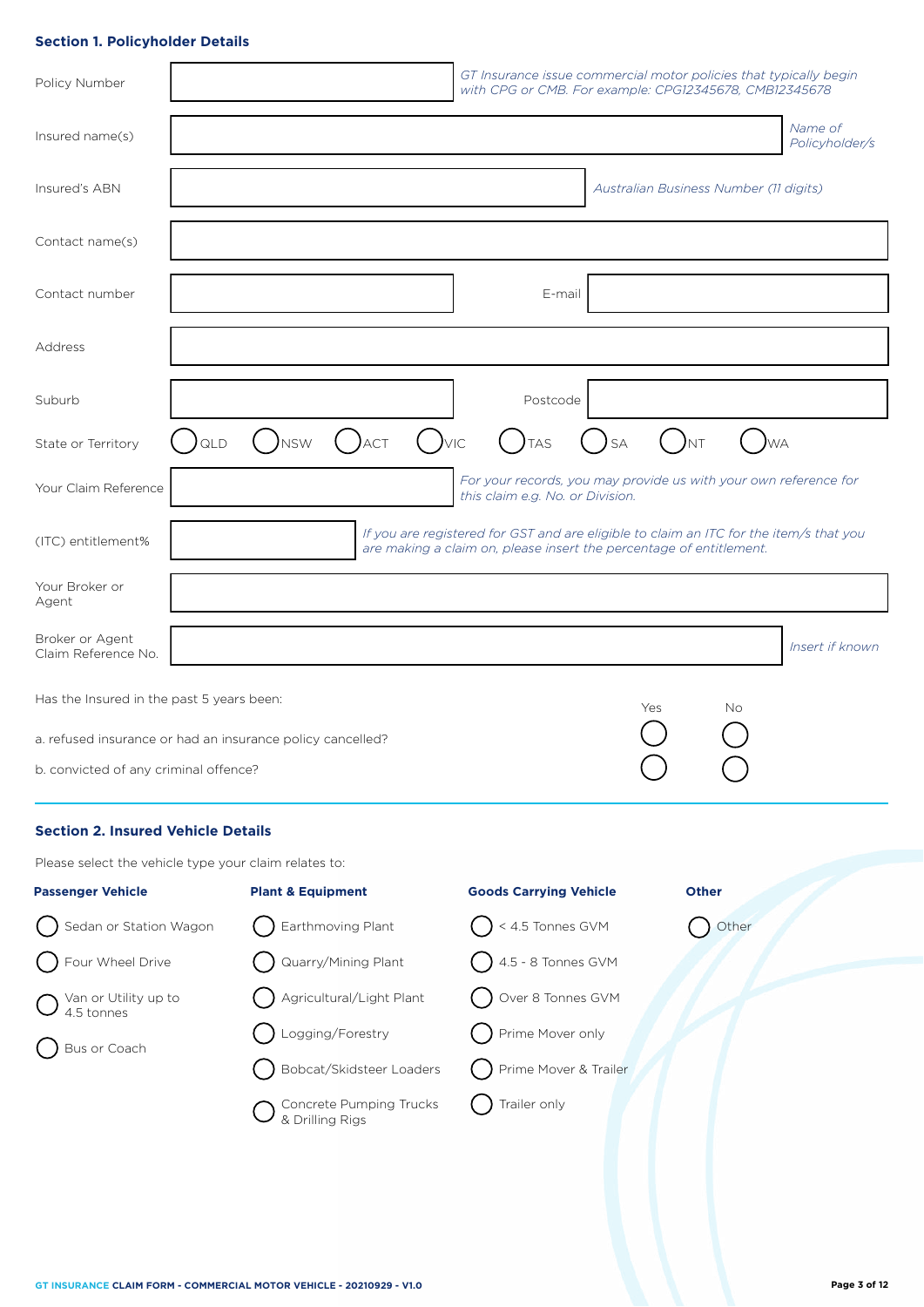# **Section 1. Policyholder Details**

| Policy Number                                              |     |            |     |          | GT Insurance issue commercial motor policies that typically begin<br>with CPG or CMB. For example: CPG12345678, CMB12345678                                   |                                        |           |     |                           |
|------------------------------------------------------------|-----|------------|-----|----------|---------------------------------------------------------------------------------------------------------------------------------------------------------------|----------------------------------------|-----------|-----|---------------------------|
| Insured name(s)                                            |     |            |     |          |                                                                                                                                                               |                                        |           |     | Name of<br>Policyholder/s |
| Insured's ABN                                              |     |            |     |          |                                                                                                                                                               | Australian Business Number (11 digits) |           |     |                           |
| Contact name(s)                                            |     |            |     |          |                                                                                                                                                               |                                        |           |     |                           |
| Contact number                                             |     |            |     |          | E-mail                                                                                                                                                        |                                        |           |     |                           |
| Address                                                    |     |            |     |          |                                                                                                                                                               |                                        |           |     |                           |
| Suburb                                                     |     |            |     |          | Postcode                                                                                                                                                      |                                        |           |     |                           |
| State or Territory                                         | QLD | <b>NSW</b> | ACT | $()$ vic | <b>TAS</b>                                                                                                                                                    | <b>SA</b>                              | <b>NT</b> |     | <b>WA</b>                 |
| Your Claim Reference                                       |     |            |     |          | For your records, you may provide us with your own reference for<br>this claim e.g. No. or Division.                                                          |                                        |           |     |                           |
| (ITC) entitlement%                                         |     |            |     |          | If you are registered for GST and are eligible to claim an ITC for the item/s that you<br>are making a claim on, please insert the percentage of entitlement. |                                        |           |     |                           |
| Your Broker or<br>Agent                                    |     |            |     |          |                                                                                                                                                               |                                        |           |     |                           |
| Broker or Agent<br>Claim Reference No.                     |     |            |     |          |                                                                                                                                                               |                                        |           |     | Insert if known           |
| Has the Insured in the past 5 years been:                  |     |            |     |          |                                                                                                                                                               | Yes                                    |           | No. |                           |
| a. refused insurance or had an insurance policy cancelled? |     |            |     |          |                                                                                                                                                               |                                        |           |     |                           |
| b. convicted of any criminal offence?                      |     |            |     |          |                                                                                                                                                               |                                        |           |     |                           |

# **Section 2. Insured Vehicle Details**

Please select the vehicle type your claim relates to:

| <b>Passenger Vehicle</b>                                                  | <b>Plant &amp; Equipment</b>               | <b>Goods Carrying Vehicle</b>     | <b>Other</b> |
|---------------------------------------------------------------------------|--------------------------------------------|-----------------------------------|--------------|
| $\dot{\hspace{0.1cm}}$ Sedan or Station Wagon                             | $\sum$ Earthmoving Plant                   | $\bigcap$ < 4.5 Tonnes GVM        | Other        |
| Sur Wheel Drive                                                           | Cuarry/Mining Plant                        | $\bigcap$ 4.5 - 8 Tonnes GVM      |              |
| $\bigcirc$ $\bigcirc$ $\bigcirc$ $\circ$ $\circ$ Utility up to 4.5 tonnes | Agricultural/Light Plant                   | $\big($ $\big)$ Over 8 Tonnes GVM |              |
| Bus or Coach                                                              | Dugging/Forestry                           | Prime Mover only                  |              |
|                                                                           | Bobcat/Skidsteer Loaders                   | ( ) Prime Mover & Trailer         |              |
|                                                                           | Concrete Pumping Trucks<br>& Drilling Rigs | Trailer only                      |              |
|                                                                           |                                            |                                   |              |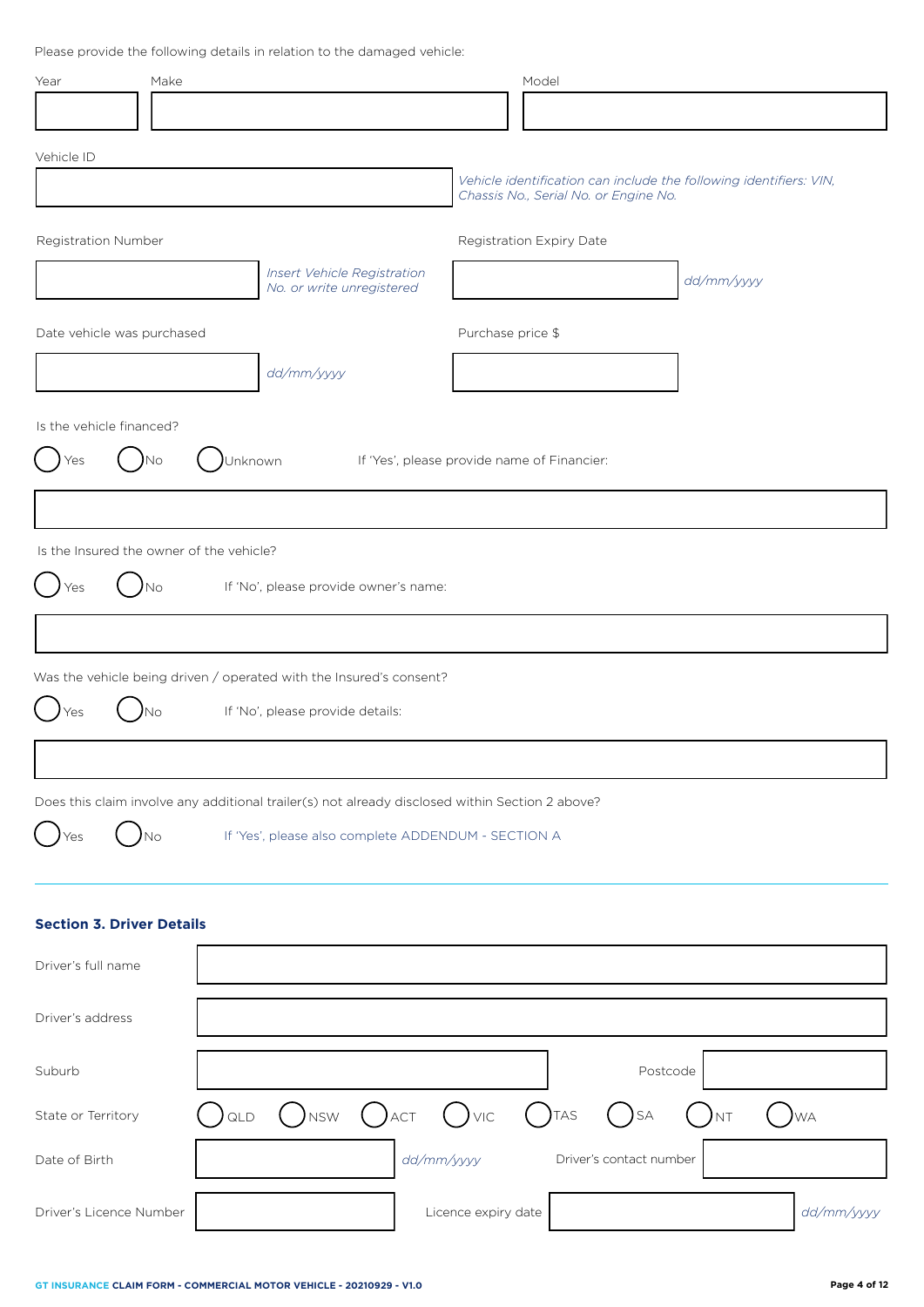Please provide the following details in relation to the damaged vehicle:

| Make<br>Year                                                                                    |                                                          | Model                                                                                                       |                  |
|-------------------------------------------------------------------------------------------------|----------------------------------------------------------|-------------------------------------------------------------------------------------------------------------|------------------|
|                                                                                                 |                                                          |                                                                                                             |                  |
| Vehicle ID                                                                                      |                                                          |                                                                                                             |                  |
|                                                                                                 |                                                          | Vehicle identification can include the following identifiers: VIN,<br>Chassis No., Serial No. or Engine No. |                  |
| Registration Number                                                                             |                                                          | Registration Expiry Date                                                                                    |                  |
|                                                                                                 | Insert Vehicle Registration<br>No. or write unregistered |                                                                                                             | dd/mm/yyyy       |
|                                                                                                 |                                                          |                                                                                                             |                  |
| Date vehicle was purchased                                                                      |                                                          | Purchase price \$                                                                                           |                  |
|                                                                                                 | dd/mm/yyyy                                               |                                                                                                             |                  |
| Is the vehicle financed?                                                                        |                                                          |                                                                                                             |                  |
| Yes<br>Νo                                                                                       | Unknown                                                  | If 'Yes', please provide name of Financier:                                                                 |                  |
|                                                                                                 |                                                          |                                                                                                             |                  |
| Is the Insured the owner of the vehicle?                                                        |                                                          |                                                                                                             |                  |
|                                                                                                 |                                                          |                                                                                                             |                  |
| N <sub>o</sub><br>Yes                                                                           | If 'No', please provide owner's name:                    |                                                                                                             |                  |
|                                                                                                 |                                                          |                                                                                                             |                  |
| Was the vehicle being driven / operated with the Insured's consent?                             |                                                          |                                                                                                             |                  |
| )No<br>'es                                                                                      | If 'No', please provide details:                         |                                                                                                             |                  |
|                                                                                                 |                                                          |                                                                                                             |                  |
| Does this claim involve any additional trailer(s) not already disclosed within Section 2 above? |                                                          |                                                                                                             |                  |
| )No<br>Yes                                                                                      | If 'Yes', please also complete ADDENDUM - SECTION A      |                                                                                                             |                  |
|                                                                                                 |                                                          |                                                                                                             |                  |
|                                                                                                 |                                                          |                                                                                                             |                  |
| <b>Section 3. Driver Details</b>                                                                |                                                          |                                                                                                             |                  |
| Driver's full name                                                                              |                                                          |                                                                                                             |                  |
| Driver's address                                                                                |                                                          |                                                                                                             |                  |
|                                                                                                 |                                                          |                                                                                                             |                  |
| Suburb                                                                                          |                                                          | Postcode                                                                                                    |                  |
| ) QLD<br>State or Territory                                                                     | $()$ nsw $()$ act $()$ vic $()$ tas                      | <b>SA</b>                                                                                                   | <b>NT</b><br>)wa |

Driver's Licence Number **Licence** Number **Licence** expiry date **and the** *dd/mm/yyyy*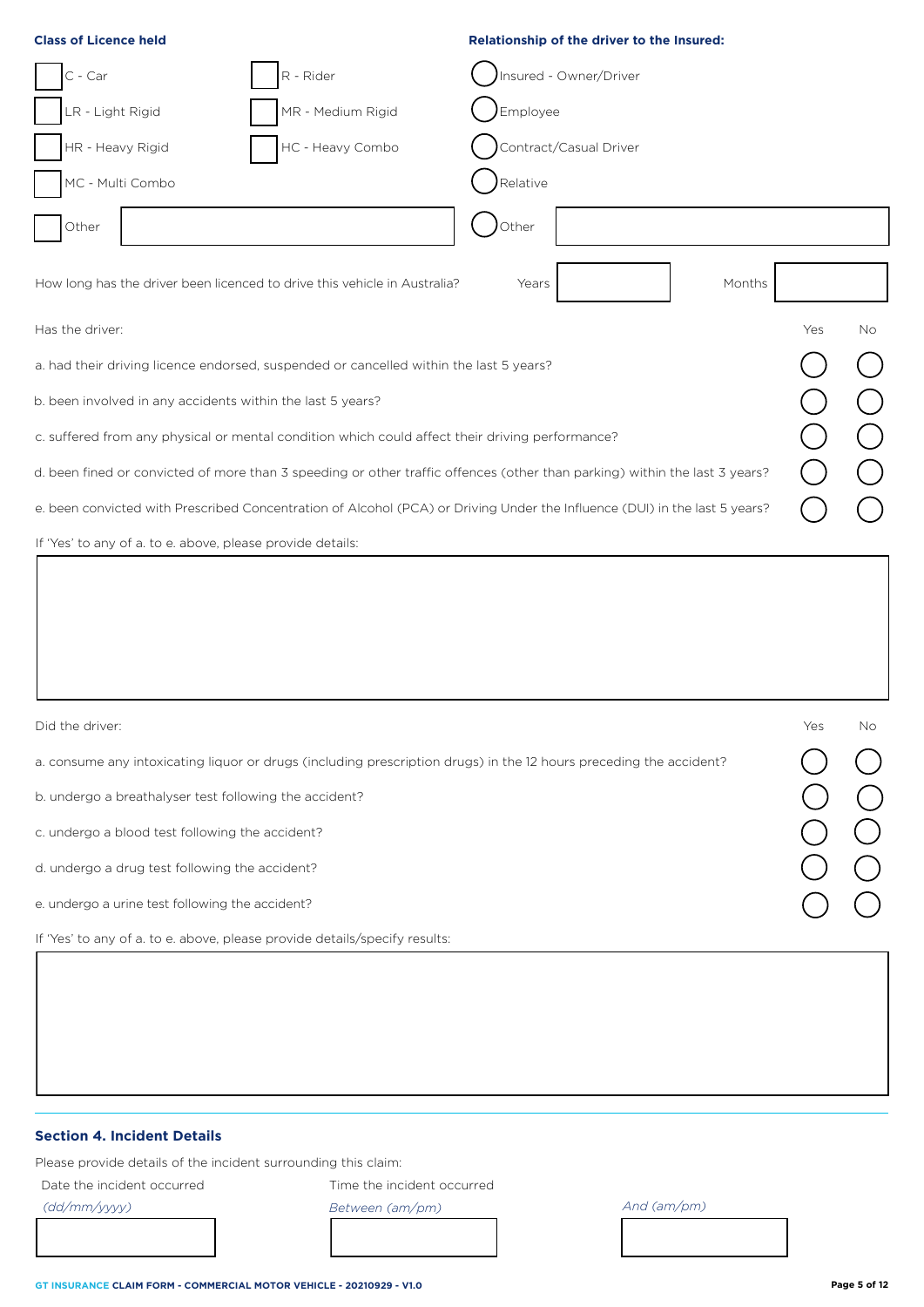| <b>Class of Licence held</b>                                                                                               | Relationship of the driver to the Insured: |
|----------------------------------------------------------------------------------------------------------------------------|--------------------------------------------|
| C - Car<br>R - Rider                                                                                                       | Insured - Owner/Driver                     |
| R - Light Rigid<br>MR - Medium Rigid                                                                                       | Employee                                   |
| HR - Heavy Rigid<br>HC - Heavy Combo                                                                                       | Contract/Casual Driver                     |
| MC - Multi Combo                                                                                                           | Relative                                   |
| Other                                                                                                                      | Other                                      |
| How long has the driver been licenced to drive this vehicle in Australia?                                                  | Months<br>Years                            |
| Has the driver:                                                                                                            | Yes<br><b>No</b>                           |
| a. had their driving licence endorsed, suspended or cancelled within the last 5 years?                                     |                                            |
| b. been involved in any accidents within the last 5 years?                                                                 |                                            |
| c. suffered from any physical or mental condition which could affect their driving performance?                            |                                            |
| d. been fined or convicted of more than 3 speeding or other traffic offences (other than parking) within the last 3 years? |                                            |
| e. been convicted with Prescribed Concentration of Alcohol (PCA) or Driving Under the Influence (DUI) in the last 5 years? |                                            |
| If 'Yes' to any of a. to e. above, please provide details:                                                                 |                                            |
|                                                                                                                            |                                            |

| Did the driver:                                                                                                    | Yes | No. |
|--------------------------------------------------------------------------------------------------------------------|-----|-----|
| a. consume any intoxicating liquor or drugs (including prescription drugs) in the 12 hours preceding the accident? |     |     |
| b. undergo a breathalyser test following the accident?                                                             |     |     |
| c. undergo a blood test following the accident?                                                                    |     |     |
| d. undergo a drug test following the accident?                                                                     |     |     |
| e. undergo a urine test following the accident?                                                                    |     |     |
| If 'Yes' to any of a. to e. above, please provide details/specify results:                                         |     |     |
|                                                                                                                    |     |     |

# **Section 4. Incident Details**

Please provide details of the incident surrounding this claim:

Date the incident occurred

Time the incident occurred

*(dd/mm/yyyy)*

*Between (am/pm) And (am/pm)*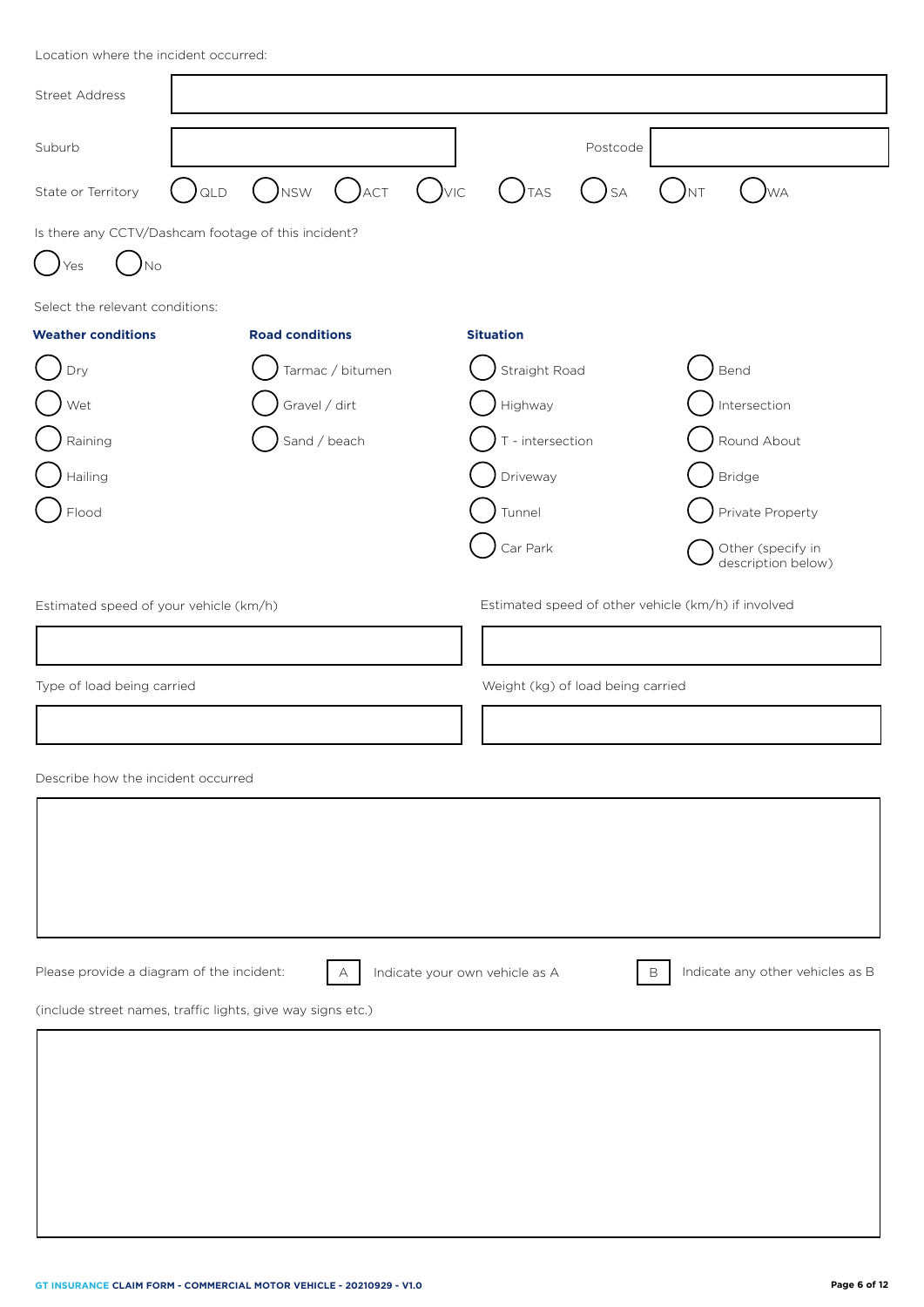| <b>Street Address</b>                                                |     |                                           |                  |                                                              |                                |                                                     |             |                                         |
|----------------------------------------------------------------------|-----|-------------------------------------------|------------------|--------------------------------------------------------------|--------------------------------|-----------------------------------------------------|-------------|-----------------------------------------|
| Suburb                                                               |     |                                           |                  |                                                              |                                | Postcode                                            |             |                                         |
| State or Territory                                                   | QLD | $($ ) $_{\text{NSW}}$ ( ) $_{\text{ACT}}$ |                  | $\left( \begin{array}{c} \end{array} \right)$ <sub>VIC</sub> | $( )$ TAS                      | <b>SA</b>                                           | )nt         | )wa                                     |
| Is there any CCTV/Dashcam footage of this incident?<br>$)$ No<br>Yes |     |                                           |                  |                                                              |                                |                                                     |             |                                         |
| Select the relevant conditions:                                      |     |                                           |                  |                                                              |                                |                                                     |             |                                         |
| <b>Weather conditions</b>                                            |     | <b>Road conditions</b>                    |                  |                                                              | <b>Situation</b>               |                                                     |             |                                         |
| Dry                                                                  |     |                                           | Tarmac / bitumen |                                                              | Straight Road                  |                                                     |             | Bend                                    |
| Wet                                                                  |     | Gravel / dirt                             |                  |                                                              | Highway                        |                                                     |             | Intersection                            |
| Raining                                                              |     | Sand / beach                              |                  |                                                              | $T$ - intersection             |                                                     |             | Round About                             |
| Hailing                                                              |     |                                           |                  |                                                              | Driveway                       |                                                     |             | <b>Bridge</b>                           |
| Flood                                                                |     |                                           |                  |                                                              | Tunnel                         |                                                     |             | Private Property                        |
|                                                                      |     |                                           |                  |                                                              | Car Park                       |                                                     |             | Other (specify in<br>description below) |
| Estimated speed of your vehicle (km/h)                               |     |                                           |                  |                                                              |                                | Estimated speed of other vehicle (km/h) if involved |             |                                         |
|                                                                      |     |                                           |                  |                                                              |                                |                                                     |             |                                         |
| Type of load being carried                                           |     |                                           |                  |                                                              |                                | Weight (kg) of load being carried                   |             |                                         |
|                                                                      |     |                                           |                  |                                                              |                                |                                                     |             |                                         |
| Describe how the incident occurred                                   |     |                                           |                  |                                                              |                                |                                                     |             |                                         |
|                                                                      |     |                                           |                  |                                                              |                                |                                                     |             |                                         |
|                                                                      |     |                                           |                  |                                                              |                                |                                                     |             |                                         |
|                                                                      |     |                                           |                  |                                                              |                                |                                                     |             |                                         |
|                                                                      |     |                                           |                  |                                                              |                                |                                                     |             |                                         |
|                                                                      |     |                                           |                  |                                                              |                                |                                                     |             |                                         |
| Please provide a diagram of the incident:                            |     |                                           | А                |                                                              | Indicate your own vehicle as A |                                                     | $\mathsf B$ | Indicate any other vehicles as B        |
| (include street names, traffic lights, give way signs etc.)          |     |                                           |                  |                                                              |                                |                                                     |             |                                         |
|                                                                      |     |                                           |                  |                                                              |                                |                                                     |             |                                         |
|                                                                      |     |                                           |                  |                                                              |                                |                                                     |             |                                         |
|                                                                      |     |                                           |                  |                                                              |                                |                                                     |             |                                         |
|                                                                      |     |                                           |                  |                                                              |                                |                                                     |             |                                         |
|                                                                      |     |                                           |                  |                                                              |                                |                                                     |             |                                         |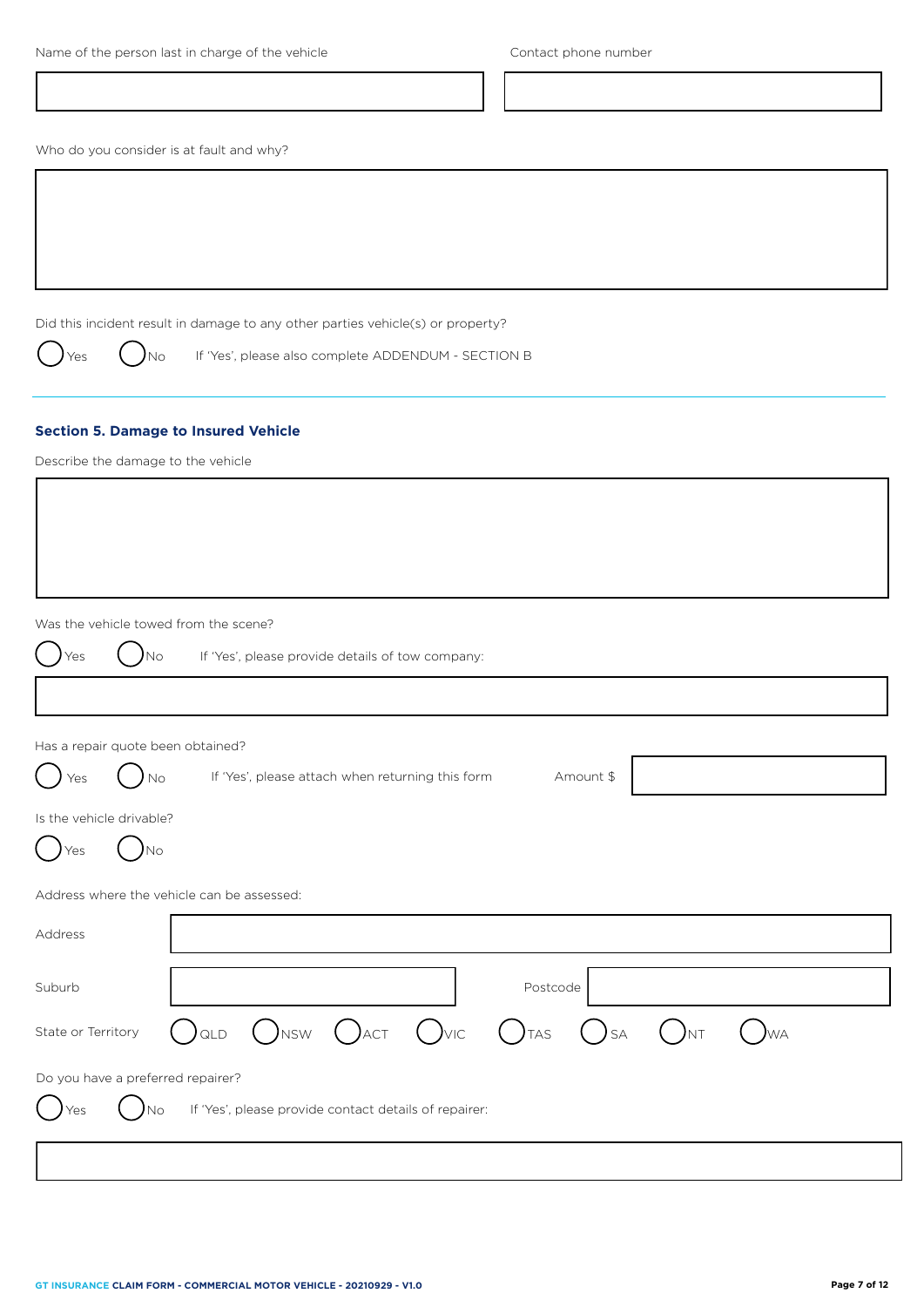| Name of the person last in charge of the vehicle |  |  |
|--------------------------------------------------|--|--|
|--------------------------------------------------|--|--|

Who do you consider is at fault and why?

Did this incident result in damage to any other parties vehicle(s) or property?

Yes  $\bigcirc$   $\bigcirc$  No If 'Yes', please also complete ADDENDUM - SECTION B

# **Section 5. Damage to Insured Vehicle**

Describe the damage to the vehicle

Was the vehicle towed from the scene?

|                    | was the venicle towed from the scene?                                                                             |
|--------------------|-------------------------------------------------------------------------------------------------------------------|
| Yes                | If 'Yes', please provide details of tow company:<br>No.                                                           |
|                    |                                                                                                                   |
|                    | Has a repair quote been obtained?                                                                                 |
| Yes                | If 'Yes', please attach when returning this form<br>Amount \$<br>No                                               |
|                    | Is the vehicle drivable?                                                                                          |
| Yes                | No.                                                                                                               |
|                    | Address where the vehicle can be assessed:                                                                        |
| Address            |                                                                                                                   |
| Suburb             | Postcode                                                                                                          |
| State or Territory | $)$ <sub>NSW</sub><br>$($ ) act<br>$\bigcup_{\forall\mathsf{IC}}$<br>$\int$ TAS<br>QLD<br><b>SA</b><br>)nt<br>)wa |
|                    | Do you have a preferred repairer?                                                                                 |
| Yes                | If 'Yes', please provide contact details of repairer:<br>'No                                                      |
|                    |                                                                                                                   |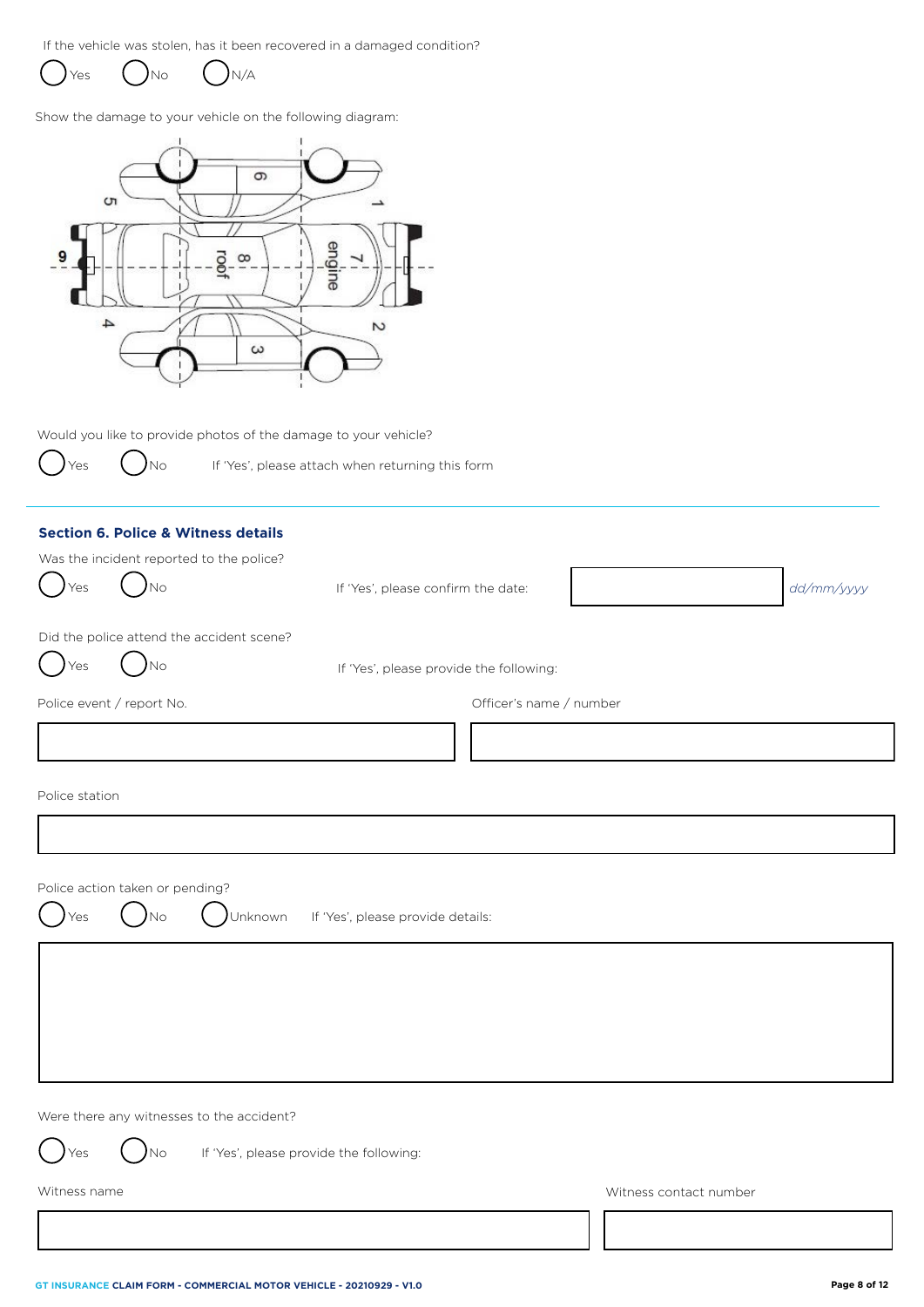If the vehicle was stolen, has it been recovered in a damaged condition?

Yes  $\bigcup$ No  $\bigcup$ N/A

Show the damage to your vehicle on the following diagram:



Would you like to provide photos of the damage to your vehicle?

ļ

Yes  $\left( \begin{array}{ccc} \\ \end{array} \right)$  No If 'Yes', please attach when returning this form

|                                 | <b>Section 6. Police &amp; Witness details</b> |                                         |                         |                        |            |
|---------------------------------|------------------------------------------------|-----------------------------------------|-------------------------|------------------------|------------|
|                                 | Was the incident reported to the police?       |                                         |                         |                        |            |
| Yes                             | N <sub>o</sub>                                 | If 'Yes', please confirm the date:      |                         |                        | dd/mm/yyyy |
|                                 |                                                |                                         |                         |                        |            |
|                                 | Did the police attend the accident scene?      |                                         |                         |                        |            |
| Yes                             | N <sub>o</sub>                                 | If 'Yes', please provide the following: |                         |                        |            |
| Police event / report No.       |                                                |                                         | Officer's name / number |                        |            |
|                                 |                                                |                                         |                         |                        |            |
| Police station                  |                                                |                                         |                         |                        |            |
|                                 |                                                |                                         |                         |                        |            |
|                                 |                                                |                                         |                         |                        |            |
| Police action taken or pending? |                                                |                                         |                         |                        |            |
| Yes                             | <b>No</b><br>Unknown                           | If 'Yes', please provide details:       |                         |                        |            |
|                                 |                                                |                                         |                         |                        |            |
|                                 |                                                |                                         |                         |                        |            |
|                                 |                                                |                                         |                         |                        |            |
|                                 |                                                |                                         |                         |                        |            |
|                                 |                                                |                                         |                         |                        |            |
|                                 |                                                |                                         |                         |                        |            |
|                                 | Were there any witnesses to the accident?      |                                         |                         |                        |            |
| Yes                             | If 'Yes', please provide the following:<br>'No |                                         |                         |                        |            |
| Witness name                    |                                                |                                         |                         | Witness contact number |            |
|                                 |                                                |                                         |                         |                        |            |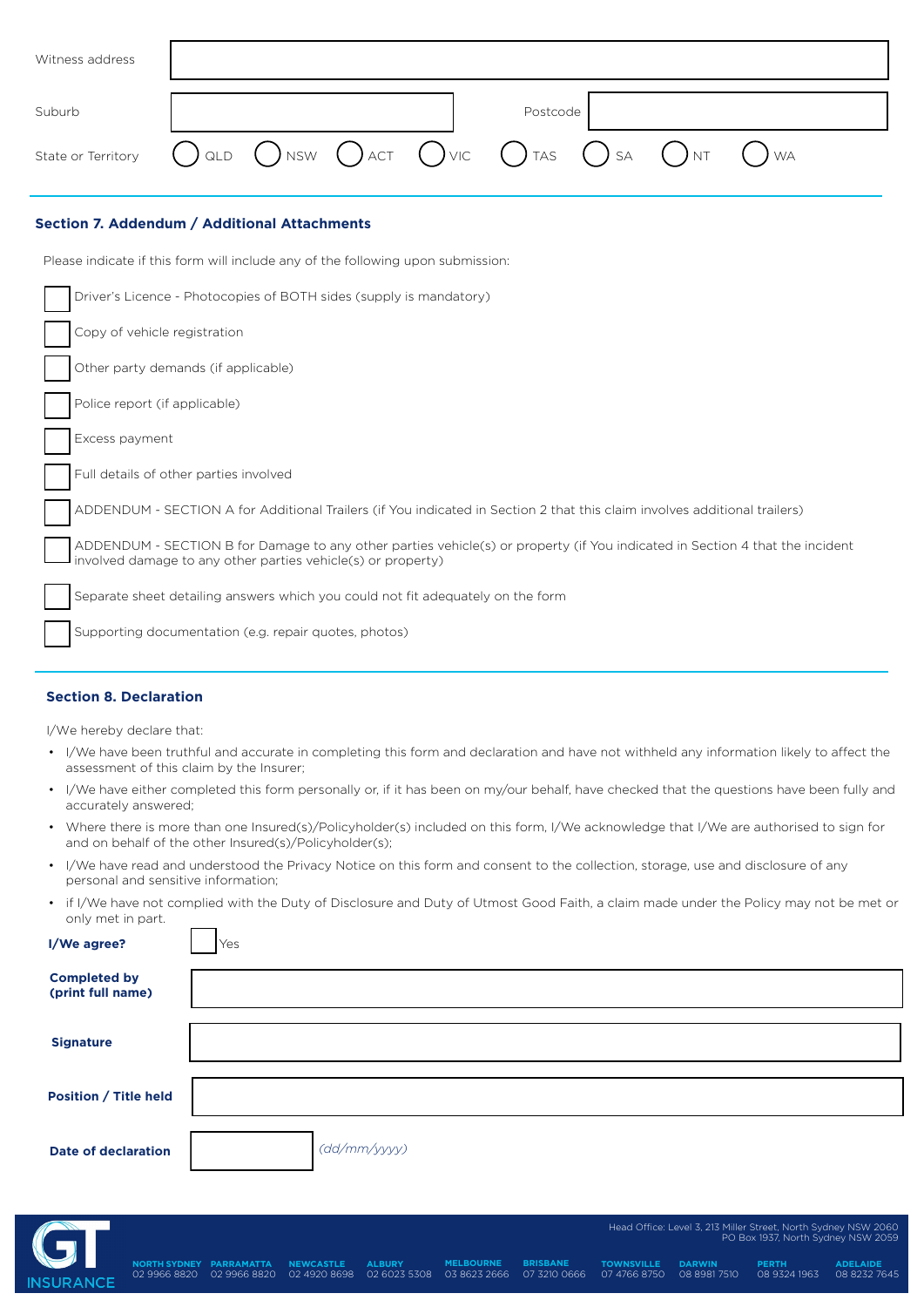| Witness address    |                                                                                                 |  |          |  |                         |  |
|--------------------|-------------------------------------------------------------------------------------------------|--|----------|--|-------------------------|--|
| Suburb             |                                                                                                 |  | Postcode |  |                         |  |
| State or Territory | $\bigcap$ qld $\bigcap$ nsw $\bigcap$ act $\bigcap$ vic $\bigcap$ tas $\bigcap$ sa $\bigcap$ nt |  |          |  | $\left(\quad\right)$ WA |  |

# **Section 7. Addendum / Additional Attachments**

Please indicate if this form will include any of the following upon submission:

| Driver's Licence - Photocopies of BOTH sides (supply is mandatory)                                                                                                                           |
|----------------------------------------------------------------------------------------------------------------------------------------------------------------------------------------------|
| Copy of vehicle registration                                                                                                                                                                 |
| Other party demands (if applicable)                                                                                                                                                          |
| Police report (if applicable)                                                                                                                                                                |
| Excess payment                                                                                                                                                                               |
| Full details of other parties involved                                                                                                                                                       |
| ADDENDUM - SECTION A for Additional Trailers (if You indicated in Section 2 that this claim involves additional trailers)                                                                    |
| ADDENDUM - SECTION B for Damage to any other parties vehicle(s) or property (if You indicated in Section 4 that the incident<br>involved damage to any other parties vehicle(s) or property) |
| Separate sheet detailing answers which you could not fit adequately on the form                                                                                                              |
| Supporting documentation (e.g. repair quotes, photos)                                                                                                                                        |

# **Section 8. Declaration**

I/We hereby declare that:

- I/We have been truthful and accurate in completing this form and declaration and have not withheld any information likely to affect the assessment of this claim by the Insurer;
- I/We have either completed this form personally or, if it has been on my/our behalf, have checked that the questions have been fully and accurately answered;
- Where there is more than one Insured(s)/Policyholder(s) included on this form, I/We acknowledge that I/We are authorised to sign for and on behalf of the other Insured(s)/Policyholder(s);
- I/We have read and understood the Privacy Notice on this form and consent to the collection, storage, use and disclosure of any personal and sensitive information;
- if I/We have not complied with the Duty of Disclosure and Duty of Utmost Good Faith, a claim made under the Policy may not be met or only met in part.

| <b>Completed by</b><br>(print full name)   |  |
|--------------------------------------------|--|
| <b>Signature</b>                           |  |
| <b>Position / Title held</b>               |  |
| (dd/mm/yyyy)<br><b>Date of declaration</b> |  |

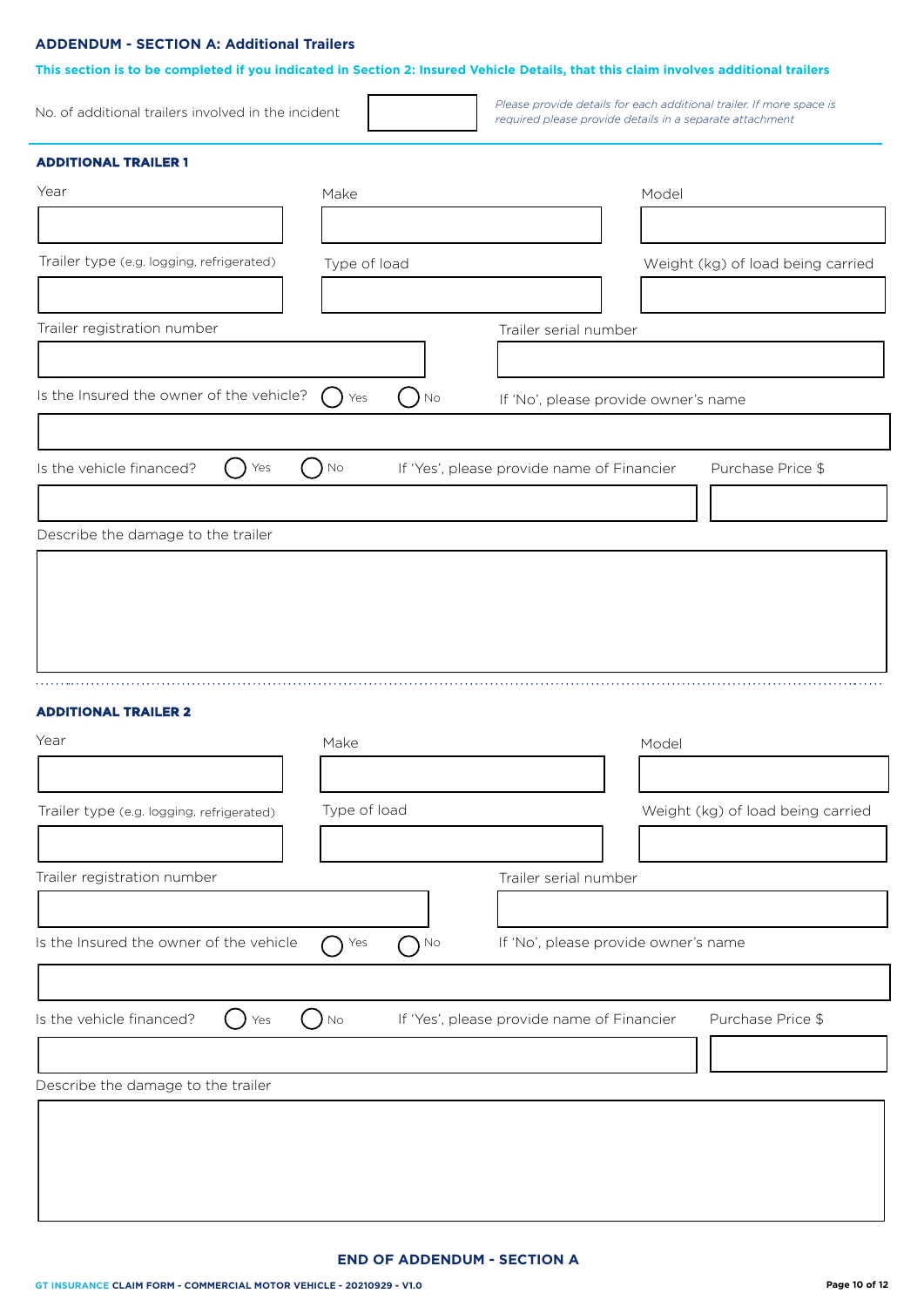# **ADDENDUM - SECTION A: Additional Trailers**

| This section is to be completed if you indicated in Section 2: Insured Vehicle Details, that this claim involves additional trailers |                     |                                            |                                                                                                                                  |
|--------------------------------------------------------------------------------------------------------------------------------------|---------------------|--------------------------------------------|----------------------------------------------------------------------------------------------------------------------------------|
| No. of additional trailers involved in the incident                                                                                  |                     |                                            | Please provide details for each additional trailer. If more space is<br>required please provide details in a separate attachment |
| <b>ADDITIONAL TRAILER 1</b>                                                                                                          |                     |                                            |                                                                                                                                  |
| Year                                                                                                                                 | Make                |                                            | Model                                                                                                                            |
|                                                                                                                                      |                     |                                            |                                                                                                                                  |
| Trailer type (e.g. logging, refrigerated)                                                                                            | Type of load        |                                            | Weight (kg) of load being carried                                                                                                |
|                                                                                                                                      |                     |                                            |                                                                                                                                  |
| Trailer registration number                                                                                                          |                     | Trailer serial number                      |                                                                                                                                  |
|                                                                                                                                      |                     |                                            |                                                                                                                                  |
| Is the Insured the owner of the vehicle?                                                                                             |                     |                                            |                                                                                                                                  |
|                                                                                                                                      | Yes<br>No.          | If 'No', please provide owner's name       |                                                                                                                                  |
|                                                                                                                                      |                     |                                            |                                                                                                                                  |
| Is the vehicle financed?<br>Yes                                                                                                      | $\rm No$            | If 'Yes', please provide name of Financier | Purchase Price \$                                                                                                                |
|                                                                                                                                      |                     |                                            |                                                                                                                                  |
| Describe the damage to the trailer                                                                                                   |                     |                                            |                                                                                                                                  |
|                                                                                                                                      |                     |                                            |                                                                                                                                  |
|                                                                                                                                      |                     |                                            |                                                                                                                                  |
|                                                                                                                                      |                     |                                            |                                                                                                                                  |
|                                                                                                                                      |                     |                                            |                                                                                                                                  |
|                                                                                                                                      |                     |                                            |                                                                                                                                  |
|                                                                                                                                      |                     |                                            |                                                                                                                                  |
| <b>ADDITIONAL TRAILER 2</b>                                                                                                          |                     |                                            |                                                                                                                                  |
| Year                                                                                                                                 | Make                |                                            | Model                                                                                                                            |
|                                                                                                                                      |                     |                                            |                                                                                                                                  |
| Trailer type (e.g. logging, refrigerated)                                                                                            | Type of load        |                                            | Weight (kg) of load being carried                                                                                                |
|                                                                                                                                      |                     |                                            |                                                                                                                                  |
| Trailer registration number                                                                                                          |                     | Trailer serial number                      |                                                                                                                                  |
|                                                                                                                                      |                     |                                            |                                                                                                                                  |
|                                                                                                                                      |                     |                                            |                                                                                                                                  |
| Is the Insured the owner of the vehicle                                                                                              | Yes<br>$\bigcap$ No | If 'No', please provide owner's name       |                                                                                                                                  |
|                                                                                                                                      |                     |                                            |                                                                                                                                  |
| Is the vehicle financed?<br>Yes                                                                                                      | No                  | If 'Yes', please provide name of Financier | Purchase Price \$                                                                                                                |
|                                                                                                                                      |                     |                                            |                                                                                                                                  |
| Describe the damage to the trailer                                                                                                   |                     |                                            |                                                                                                                                  |
|                                                                                                                                      |                     |                                            |                                                                                                                                  |
|                                                                                                                                      |                     |                                            |                                                                                                                                  |
|                                                                                                                                      |                     |                                            |                                                                                                                                  |
|                                                                                                                                      |                     |                                            |                                                                                                                                  |
|                                                                                                                                      |                     |                                            |                                                                                                                                  |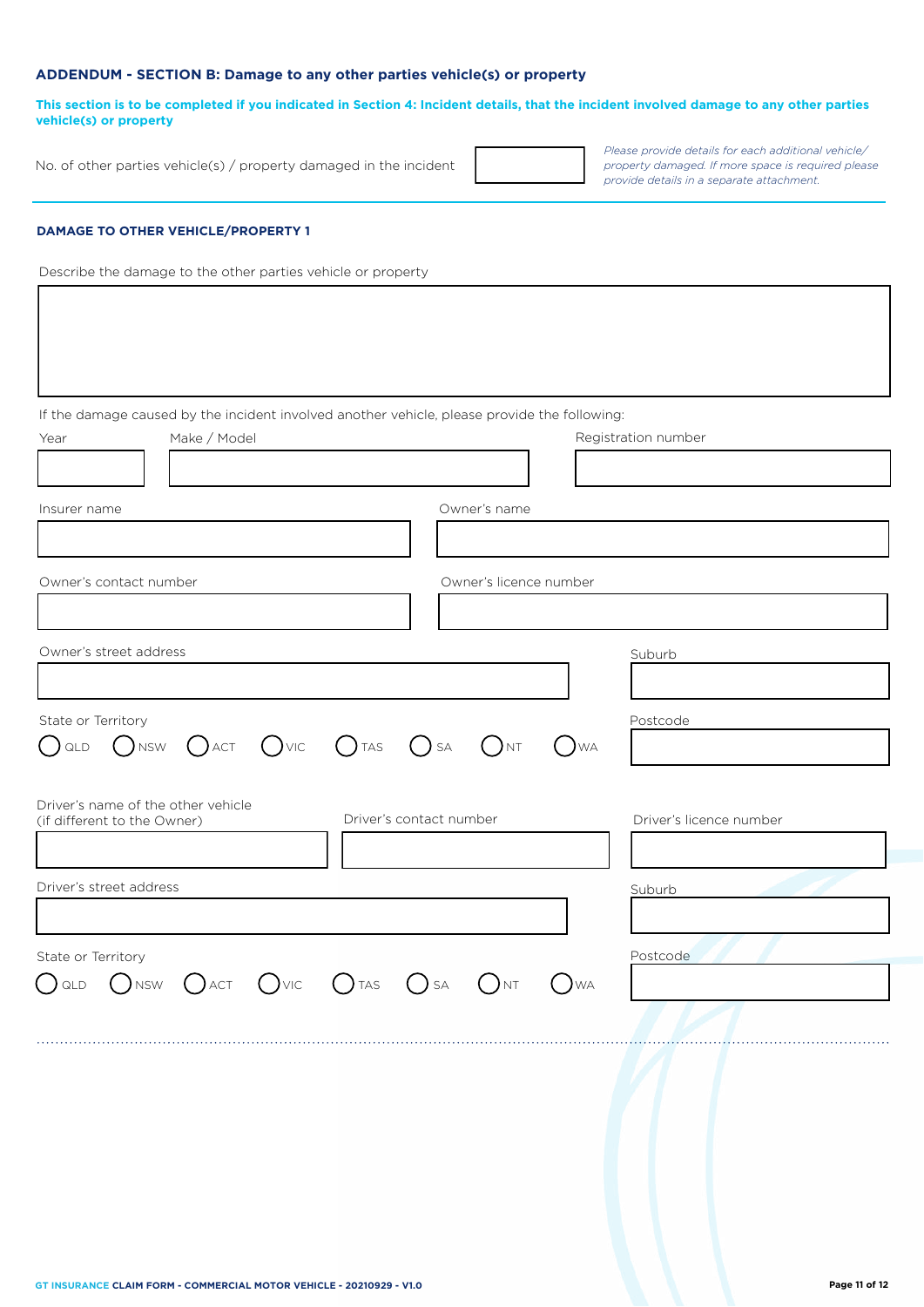# **ADDENDUM - SECTION B: Damage to any other parties vehicle(s) or property**

**This section is to be completed if you indicated in Section 4: Incident details, that the incident involved damage to any other parties vehicle(s) or property**

No. of other parties vehicle(s) / property damaged in the incident

*Please pr ovide details for each additional vehicle/ property damaged. If more space is required please provide details in a separate attachment.*

# **DAMAGE TO OTHER VEHICLE/PROPERTY 1**

 $\lceil$ 

Describe the damage to the other parties vehicle or property

| Make / Model<br>Year                                                                    |                                       |                        | If the damage caused by the incident involved another vehicle, please provide the following: | Registration number     |
|-----------------------------------------------------------------------------------------|---------------------------------------|------------------------|----------------------------------------------------------------------------------------------|-------------------------|
| Insurer name                                                                            |                                       | Owner's name           |                                                                                              |                         |
|                                                                                         |                                       |                        |                                                                                              |                         |
| Owner's contact number                                                                  |                                       | Owner's licence number |                                                                                              |                         |
| Owner's street address                                                                  |                                       |                        |                                                                                              | Suburb                  |
| State or Territory<br>Onsw Oact Ovic Otas Osa Ont<br>QLD<br>( )                         |                                       |                        | $\bigcirc$ WA                                                                                | Postcode                |
| Driver's name of the other vehicle<br>(if different to the Owner)                       | Driver's contact number               |                        |                                                                                              | Driver's licence number |
| Driver's street address                                                                 |                                       |                        |                                                                                              | Suburb                  |
| State or Territory<br>$()$ vic<br>$\big($ ) act<br>$()$ <sub>NSW</sub><br>$\bigcup$ QLD | $()$ TAS<br>$\left( \quad \right)$ SA | <b>NT</b>              | <b>WA</b>                                                                                    | Postcode                |
|                                                                                         |                                       |                        |                                                                                              |                         |
|                                                                                         |                                       |                        |                                                                                              |                         |